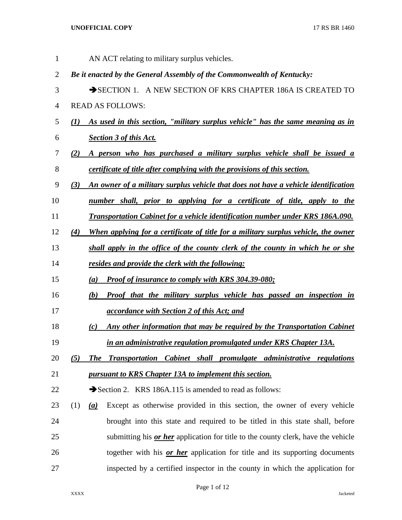| $\mathbf{1}$ |              |     | AN ACT relating to military surplus vehicles.                                            |
|--------------|--------------|-----|------------------------------------------------------------------------------------------|
| 2            |              |     | Be it enacted by the General Assembly of the Commonwealth of Kentucky:                   |
| 3            |              |     | SECTION 1. A NEW SECTION OF KRS CHAPTER 186A IS CREATED TO                               |
| 4            |              |     | <b>READ AS FOLLOWS:</b>                                                                  |
| 5            | $\mathbf{U}$ |     | As used in this section, "military surplus vehicle" has the same meaning as in           |
| 6            |              |     | <b>Section 3 of this Act.</b>                                                            |
| 7            | (2)          |     | A person who has purchased a military surplus vehicle shall be issued a                  |
| 8            |              |     | <i>certificate of title after complying with the provisions of this section.</i>         |
| 9            | (3)          |     | An owner of a military surplus vehicle that does not have a vehicle identification       |
| 10           |              |     | number shall, prior to applying for a certificate of title, apply to the                 |
| 11           |              |     | <b>Transportation Cabinet for a vehicle identification number under KRS 186A.090.</b>    |
| 12           | (4)          |     | When applying for a certificate of title for a military surplus vehicle, the owner       |
| 13           |              |     | shall apply in the office of the county clerk of the county in which he or she           |
| 14           |              |     | resides and provide the clerk with the following:                                        |
| 15           |              | (a) | <b>Proof of insurance to comply with KRS 304.39-080;</b>                                 |
| 16           |              | (b) | <b>Proof that the military surplus vehicle has passed an inspection in</b>               |
| 17           |              |     | accordance with Section 2 of this Act; and                                               |
| 18           |              | (c) | Any other information that may be required by the Transportation Cabinet                 |
| 19           |              |     | in an administrative regulation promulgated under KRS Chapter 13A.                       |
| 20           | (5)          |     | The Transportation Cabinet shall promulgate administrative regulations                   |
| 21           |              |     | pursuant to KRS Chapter 13A to implement this section.                                   |
| 22           |              |     | Section 2. KRS 186A.115 is amended to read as follows:                                   |
| 23           | (1)          | (a) | Except as otherwise provided in this section, the owner of every vehicle                 |
| 24           |              |     | brought into this state and required to be titled in this state shall, before            |
| 25           |              |     | submitting his <i>or her</i> application for title to the county clerk, have the vehicle |
| 26           |              |     | together with his or her application for title and its supporting documents              |
| 27           |              |     | inspected by a certified inspector in the county in which the application for            |

## Page 1 of 12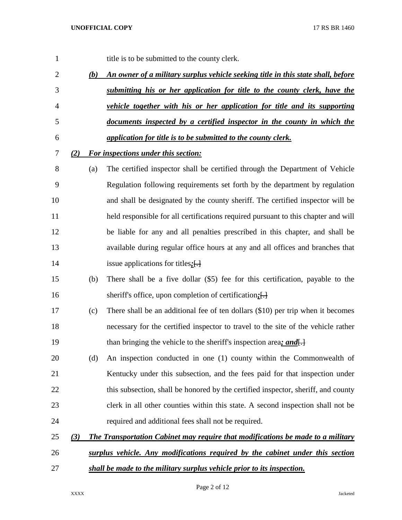| 1              |     |     | title is to be submitted to the county clerk.                                          |
|----------------|-----|-----|----------------------------------------------------------------------------------------|
| $\overline{2}$ |     | (b) | An owner of a military surplus vehicle seeking title in this state shall, before       |
| 3              |     |     | submitting his or her application for title to the county clerk, have the              |
| 4              |     |     | vehicle together with his or her application for title and its supporting              |
| 5              |     |     | documents inspected by a certified inspector in the county in which the                |
| 6              |     |     | application for title is to be submitted to the county clerk.                          |
| 7              | (2) |     | <b>For inspections under this section:</b>                                             |
| 8              |     | (a) | The certified inspector shall be certified through the Department of Vehicle           |
| 9              |     |     | Regulation following requirements set forth by the department by regulation            |
| 10             |     |     | and shall be designated by the county sheriff. The certified inspector will be         |
| 11             |     |     | held responsible for all certifications required pursuant to this chapter and will     |
| 12             |     |     | be liable for any and all penalties prescribed in this chapter, and shall be           |
| 13             |     |     | available during regular office hours at any and all offices and branches that         |
| 14             |     |     | issue applications for titles; $\left\{ \cdot \right\}$                                |
| 15             |     | (b) | There shall be a five dollar (\$5) fee for this certification, payable to the          |
| 16             |     |     | sheriff's office, upon completion of certification; [-]                                |
| 17             |     | (c) | There shall be an additional fee of ten dollars (\$10) per trip when it becomes        |
| 18             |     |     | necessary for the certified inspector to travel to the site of the vehicle rather      |
| 19             |     |     | than bringing the vehicle to the sheriff's inspection area; and.                       |
| 20             |     | (d) | An inspection conducted in one (1) county within the Commonwealth of                   |
| 21             |     |     | Kentucky under this subsection, and the fees paid for that inspection under            |
| 22             |     |     | this subsection, shall be honored by the certified inspector, sheriff, and county      |
| 23             |     |     | clerk in all other counties within this state. A second inspection shall not be        |
| 24             |     |     | required and additional fees shall not be required.                                    |
| 25             | (3) |     | <b>The Transportation Cabinet may require that modifications be made to a military</b> |
| 26             |     |     | surplus vehicle. Any modifications required by the cabinet under this section          |
| 27             |     |     | shall be made to the military surplus vehicle prior to its inspection.                 |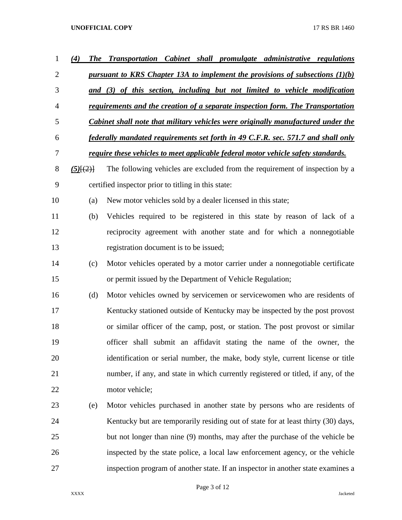| 1              | (4)           | <b>The Transportation Cabinet shall promulgate administrative regulations</b>            |
|----------------|---------------|------------------------------------------------------------------------------------------|
| $\overline{2}$ |               | pursuant to KRS Chapter 13A to implement the provisions of subsections $(1)(b)$          |
| 3              |               | and (3) of this section, including but not limited to vehicle modification               |
| 4              |               | requirements and the creation of a separate inspection form. The Transportation          |
| 5              |               | <b>Cabinet shall note that military vehicles were originally manufactured under the</b>  |
| 6              |               | federally mandated requirements set forth in 49 C.F.R. sec. 571.7 and shall only         |
| 7              |               | <u>require these vehicles to meet applicable federal motor vehicle safety standards.</u> |
| 8              | $(5)$ $\{2\}$ | The following vehicles are excluded from the requirement of inspection by a              |
| 9              |               | certified inspector prior to titling in this state:                                      |
| 10             | (a)           | New motor vehicles sold by a dealer licensed in this state;                              |
| 11             | (b)           | Vehicles required to be registered in this state by reason of lack of a                  |
| 12             |               | reciprocity agreement with another state and for which a nonnegotiable                   |
| 13             |               | registration document is to be issued;                                                   |
| 14             | (c)           | Motor vehicles operated by a motor carrier under a nonnegotiable certificate             |
| 15             |               | or permit issued by the Department of Vehicle Regulation;                                |
| 16             | (d)           | Motor vehicles owned by servicemen or servicewomen who are residents of                  |
| 17             |               | Kentucky stationed outside of Kentucky may be inspected by the post provost              |
| 18             |               | or similar officer of the camp, post, or station. The post provost or similar            |
| 19             |               | officer shall submit an affidavit stating the name of the owner, the                     |
| 20             |               | identification or serial number, the make, body style, current license or title          |
| 21             |               | number, if any, and state in which currently registered or titled, if any, of the        |
| 22             |               | motor vehicle;                                                                           |
| 23             | (e)           | Motor vehicles purchased in another state by persons who are residents of                |
| 24             |               | Kentucky but are temporarily residing out of state for at least thirty (30) days,        |
| 25             |               | but not longer than nine (9) months, may after the purchase of the vehicle be            |
| 26             |               | inspected by the state police, a local law enforcement agency, or the vehicle            |
| 27             |               | inspection program of another state. If an inspector in another state examines a         |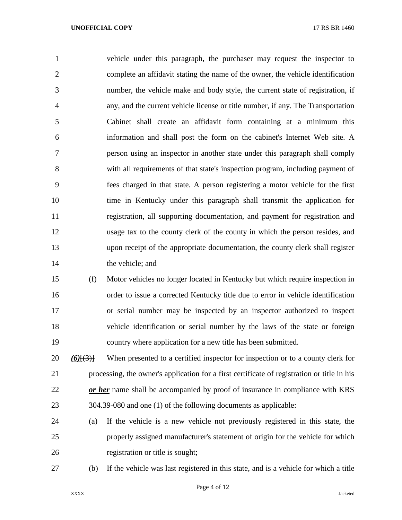vehicle under this paragraph, the purchaser may request the inspector to complete an affidavit stating the name of the owner, the vehicle identification number, the vehicle make and body style, the current state of registration, if any, and the current vehicle license or title number, if any. The Transportation Cabinet shall create an affidavit form containing at a minimum this information and shall post the form on the cabinet's Internet Web site. A person using an inspector in another state under this paragraph shall comply with all requirements of that state's inspection program, including payment of fees charged in that state. A person registering a motor vehicle for the first time in Kentucky under this paragraph shall transmit the application for registration, all supporting documentation, and payment for registration and usage tax to the county clerk of the county in which the person resides, and upon receipt of the appropriate documentation, the county clerk shall register 14 the vehicle; and

 (f) Motor vehicles no longer located in Kentucky but which require inspection in order to issue a corrected Kentucky title due to error in vehicle identification or serial number may be inspected by an inspector authorized to inspect vehicle identification or serial number by the laws of the state or foreign country where application for a new title has been submitted.

 *(6)*[(3)] When presented to a certified inspector for inspection or to a county clerk for processing, the owner's application for a first certificate of registration or title in his *or her* name shall be accompanied by proof of insurance in compliance with KRS 304.39-080 and one (1) of the following documents as applicable:

 (a) If the vehicle is a new vehicle not previously registered in this state, the properly assigned manufacturer's statement of origin for the vehicle for which registration or title is sought;

(b) If the vehicle was last registered in this state, and is a vehicle for which a title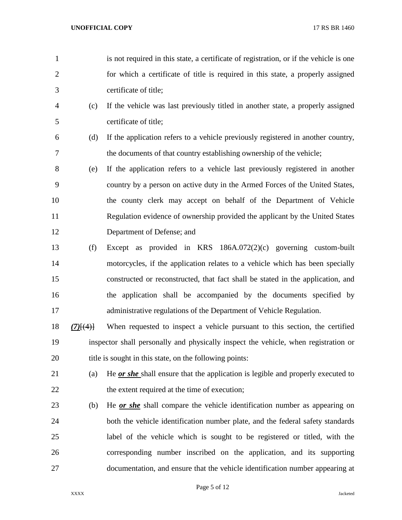- is not required in this state, a certificate of registration, or if the vehicle is one for which a certificate of title is required in this state, a properly assigned certificate of title;
- (c) If the vehicle was last previously titled in another state, a properly assigned certificate of title;
- (d) If the application refers to a vehicle previously registered in another country, the documents of that country establishing ownership of the vehicle;
- (e) If the application refers to a vehicle last previously registered in another country by a person on active duty in the Armed Forces of the United States, the county clerk may accept on behalf of the Department of Vehicle Regulation evidence of ownership provided the applicant by the United States Department of Defense; and
- (f) Except as provided in KRS 186A.072(2)(c) governing custom-built motorcycles, if the application relates to a vehicle which has been specially constructed or reconstructed, that fact shall be stated in the application, and the application shall be accompanied by the documents specified by administrative regulations of the Department of Vehicle Regulation.
- *(7)*[(4)] When requested to inspect a vehicle pursuant to this section, the certified inspector shall personally and physically inspect the vehicle, when registration or 20 title is sought in this state, on the following points:
- (a) He *or she* shall ensure that the application is legible and properly executed to 22 the extent required at the time of execution;
- (b) He *or she* shall compare the vehicle identification number as appearing on both the vehicle identification number plate, and the federal safety standards label of the vehicle which is sought to be registered or titled, with the corresponding number inscribed on the application, and its supporting documentation, and ensure that the vehicle identification number appearing at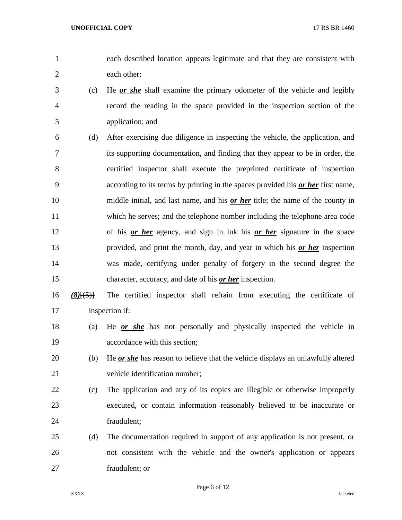each described location appears legitimate and that they are consistent with each other;

- (c) He *or she* shall examine the primary odometer of the vehicle and legibly record the reading in the space provided in the inspection section of the application; and
- (d) After exercising due diligence in inspecting the vehicle, the application, and its supporting documentation, and finding that they appear to be in order, the certified inspector shall execute the preprinted certificate of inspection according to its terms by printing in the spaces provided his *or her* first name, middle initial, and last name, and his *or her* title; the name of the county in which he serves; and the telephone number including the telephone area code of his *or her* agency, and sign in ink his *or her* signature in the space provided, and print the month, day, and year in which his *or her* inspection was made, certifying under penalty of forgery in the second degree the character, accuracy, and date of his *or her* inspection.
- *(8)*[(5)] The certified inspector shall refrain from executing the certificate of inspection if:
- (a) He *or she* has not personally and physically inspected the vehicle in accordance with this section;
- (b) He *or she* has reason to believe that the vehicle displays an unlawfully altered vehicle identification number;
- (c) The application and any of its copies are illegible or otherwise improperly executed, or contain information reasonably believed to be inaccurate or fraudulent;
- (d) The documentation required in support of any application is not present, or not consistent with the vehicle and the owner's application or appears fraudulent; or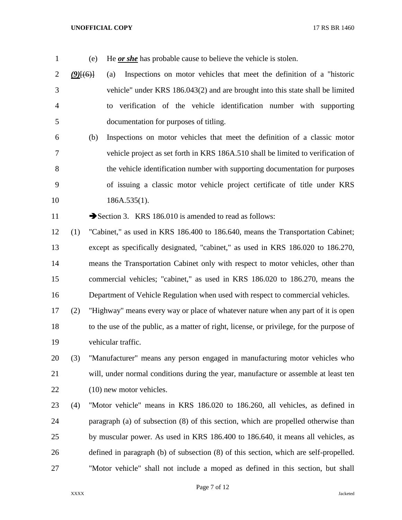- 
- (e) He *or she* has probable cause to believe the vehicle is stolen.

 *(9)*[(6)] (a) Inspections on motor vehicles that meet the definition of a "historic vehicle" under KRS 186.043(2) and are brought into this state shall be limited to verification of the vehicle identification number with supporting documentation for purposes of titling.

 (b) Inspections on motor vehicles that meet the definition of a classic motor vehicle project as set forth in KRS 186A.510 shall be limited to verification of the vehicle identification number with supporting documentation for purposes of issuing a classic motor vehicle project certificate of title under KRS 10 186A.535(1).

11 Section 3. KRS 186.010 is amended to read as follows:

 (1) "Cabinet," as used in KRS 186.400 to 186.640, means the Transportation Cabinet; except as specifically designated, "cabinet," as used in KRS 186.020 to 186.270, means the Transportation Cabinet only with respect to motor vehicles, other than commercial vehicles; "cabinet," as used in KRS 186.020 to 186.270, means the Department of Vehicle Regulation when used with respect to commercial vehicles.

 (2) "Highway" means every way or place of whatever nature when any part of it is open to the use of the public, as a matter of right, license, or privilege, for the purpose of vehicular traffic.

 (3) "Manufacturer" means any person engaged in manufacturing motor vehicles who will, under normal conditions during the year, manufacture or assemble at least ten (10) new motor vehicles.

 (4) "Motor vehicle" means in KRS 186.020 to 186.260, all vehicles, as defined in paragraph (a) of subsection (8) of this section, which are propelled otherwise than by muscular power. As used in KRS 186.400 to 186.640, it means all vehicles, as defined in paragraph (b) of subsection (8) of this section, which are self-propelled. "Motor vehicle" shall not include a moped as defined in this section, but shall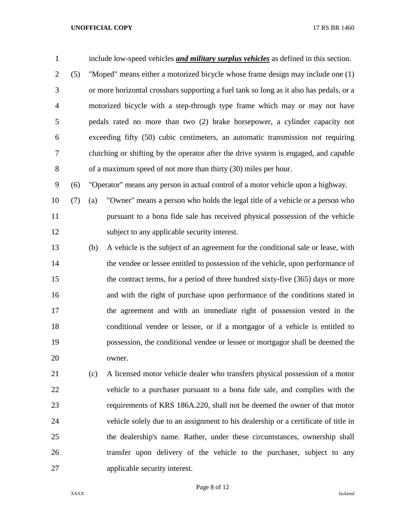| $\mathbf{1}$   |     |     | include low-speed vehicles <i>and military surplus vehicles</i> as defined in this section. |
|----------------|-----|-----|---------------------------------------------------------------------------------------------|
| $\mathbf{2}$   | (5) |     | "Moped" means either a motorized bicycle whose frame design may include one (1)             |
| 3              |     |     | or more horizontal crossbars supporting a fuel tank so long as it also has pedals, or a     |
| $\overline{4}$ |     |     | motorized bicycle with a step-through type frame which may or may not have                  |
| 5              |     |     | pedals rated no more than two (2) brake horsepower, a cylinder capacity not                 |
| 6              |     |     | exceeding fifty (50) cubic centimeters, an automatic transmission not requiring             |
| 7              |     |     | clutching or shifting by the operator after the drive system is engaged, and capable        |
| $8\,$          |     |     | of a maximum speed of not more than thirty (30) miles per hour.                             |
| 9              | (6) |     | "Operator" means any person in actual control of a motor vehicle upon a highway.            |
| 10             | (7) | (a) | "Owner" means a person who holds the legal title of a vehicle or a person who               |
| 11             |     |     | pursuant to a bona fide sale has received physical possession of the vehicle                |
| 12             |     |     | subject to any applicable security interest.                                                |
| 13             |     | (b) | A vehicle is the subject of an agreement for the conditional sale or lease, with            |
| 14             |     |     | the vendee or lessee entitled to possession of the vehicle, upon performance of             |
| 15             |     |     | the contract terms, for a period of three hundred sixty-five (365) days or more             |
| 16             |     |     | and with the right of purchase upon performance of the conditions stated in                 |
| 17             |     |     | the agreement and with an immediate right of possession vested in the                       |
| 18             |     |     | conditional vendee or lessee, or if a mortgagor of a vehicle is entitled to                 |
| 19             |     |     | possession, the conditional vendee or lessee or mortgagor shall be deemed the               |
| 20             |     |     | owner.                                                                                      |
| 21             |     | (c) | A licensed motor vehicle dealer who transfers physical possession of a motor                |
| 22             |     |     | vehicle to a purchaser pursuant to a bona fide sale, and complies with the                  |
| 23             |     |     | requirements of KRS 186A.220, shall not be deemed the owner of that motor                   |
| 24             |     |     | vehicle solely due to an assignment to his dealership or a certificate of title in          |
| 25             |     |     | the dealership's name. Rather, under these circumstances, ownership shall                   |
| 26             |     |     | transfer upon delivery of the vehicle to the purchaser, subject to any                      |

applicable security interest.

Page 8 of 12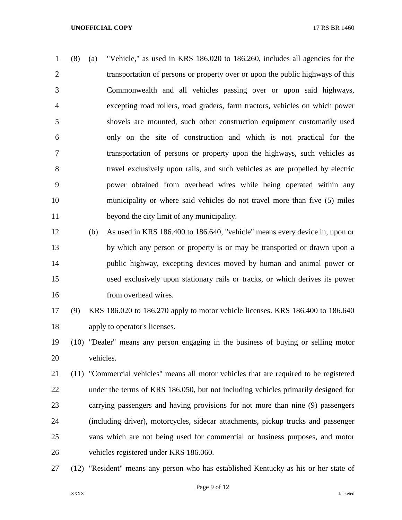(8) (a) "Vehicle," as used in KRS 186.020 to 186.260, includes all agencies for the transportation of persons or property over or upon the public highways of this Commonwealth and all vehicles passing over or upon said highways, excepting road rollers, road graders, farm tractors, vehicles on which power shovels are mounted, such other construction equipment customarily used only on the site of construction and which is not practical for the transportation of persons or property upon the highways, such vehicles as travel exclusively upon rails, and such vehicles as are propelled by electric power obtained from overhead wires while being operated within any municipality or where said vehicles do not travel more than five (5) miles beyond the city limit of any municipality.

 (b) As used in KRS 186.400 to 186.640, "vehicle" means every device in, upon or by which any person or property is or may be transported or drawn upon a public highway, excepting devices moved by human and animal power or used exclusively upon stationary rails or tracks, or which derives its power 16 from overhead wires.

# (9) KRS 186.020 to 186.270 apply to motor vehicle licenses. KRS 186.400 to 186.640 apply to operator's licenses.

 (10) "Dealer" means any person engaging in the business of buying or selling motor vehicles.

 (11) "Commercial vehicles" means all motor vehicles that are required to be registered under the terms of KRS 186.050, but not including vehicles primarily designed for carrying passengers and having provisions for not more than nine (9) passengers (including driver), motorcycles, sidecar attachments, pickup trucks and passenger vans which are not being used for commercial or business purposes, and motor vehicles registered under KRS 186.060.

(12) "Resident" means any person who has established Kentucky as his or her state of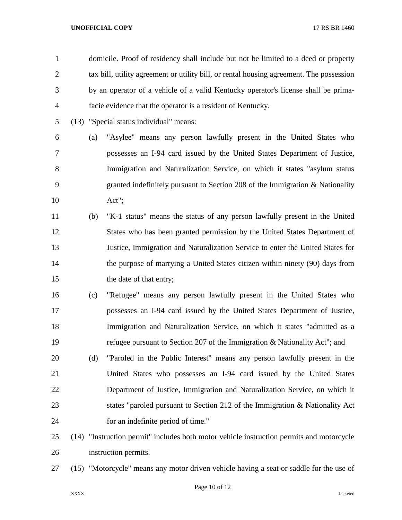| $\mathbf{1}$   |     | domicile. Proof of residency shall include but not be limited to a deed or property      |
|----------------|-----|------------------------------------------------------------------------------------------|
| $\overline{2}$ |     | tax bill, utility agreement or utility bill, or rental housing agreement. The possession |
| 3              |     | by an operator of a vehicle of a valid Kentucky operator's license shall be prima-       |
| 4              |     | facie evidence that the operator is a resident of Kentucky.                              |
| 5              |     | (13) "Special status individual" means:                                                  |
| 6              | (a) | "Asylee" means any person lawfully present in the United States who                      |
| 7              |     | possesses an I-94 card issued by the United States Department of Justice,                |
| 8              |     | Immigration and Naturalization Service, on which it states "asylum status"               |
| 9              |     | granted indefinitely pursuant to Section 208 of the Immigration $\&$ Nationality         |
| 10             |     | Act";                                                                                    |
| 11             | (b) | "K-1 status" means the status of any person lawfully present in the United               |
| 12             |     | States who has been granted permission by the United States Department of                |
| 13             |     | Justice, Immigration and Naturalization Service to enter the United States for           |
| 14             |     | the purpose of marrying a United States citizen within ninety (90) days from             |
| 15             |     | the date of that entry;                                                                  |
| 16             | (c) | "Refugee" means any person lawfully present in the United States who                     |
| 17             |     | possesses an I-94 card issued by the United States Department of Justice,                |
| 18             |     | Immigration and Naturalization Service, on which it states "admitted as a                |
| 19             |     | refugee pursuant to Section 207 of the Immigration & Nationality Act"; and               |
| 20             | (d) | "Paroled in the Public Interest" means any person lawfully present in the                |
| 21             |     | United States who possesses an I-94 card issued by the United States                     |
| 22             |     | Department of Justice, Immigration and Naturalization Service, on which it               |
| 23             |     | states "paroled pursuant to Section 212 of the Immigration & Nationality Act             |
| 24             |     | for an indefinite period of time."                                                       |
| 25             |     | (14) "Instruction permit" includes both motor vehicle instruction permits and motorcycle |
| 26             |     | instruction permits.                                                                     |

(15) "Motorcycle" means any motor driven vehicle having a seat or saddle for the use of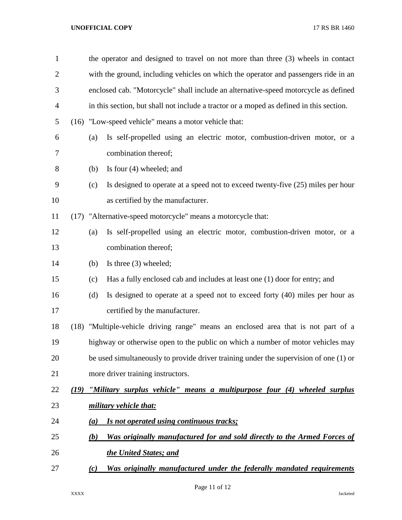| $\mathbf{1}$   |      |     | the operator and designed to travel on not more than three (3) wheels in contact        |  |  |
|----------------|------|-----|-----------------------------------------------------------------------------------------|--|--|
| $\mathbf{2}$   |      |     | with the ground, including vehicles on which the operator and passengers ride in an     |  |  |
| 3              |      |     | enclosed cab. "Motorcycle" shall include an alternative-speed motorcycle as defined     |  |  |
| $\overline{4}$ |      |     | in this section, but shall not include a tractor or a moped as defined in this section. |  |  |
| 5              |      |     | (16) "Low-speed vehicle" means a motor vehicle that:                                    |  |  |
| 6              |      | (a) | Is self-propelled using an electric motor, combustion-driven motor, or a                |  |  |
| 7              |      |     | combination thereof;                                                                    |  |  |
| 8              |      | (b) | Is four $(4)$ wheeled; and                                                              |  |  |
| 9              |      | (c) | Is designed to operate at a speed not to exceed twenty-five $(25)$ miles per hour       |  |  |
| 10             |      |     | as certified by the manufacturer.                                                       |  |  |
| 11             |      |     | (17) "Alternative-speed motorcycle" means a motorcycle that:                            |  |  |
| 12             |      | (a) | Is self-propelled using an electric motor, combustion-driven motor, or a                |  |  |
| 13             |      |     | combination thereof;                                                                    |  |  |
| 14             |      | (b) | Is three $(3)$ wheeled;                                                                 |  |  |
| 15             |      | (c) | Has a fully enclosed cab and includes at least one (1) door for entry; and              |  |  |
| 16             |      | (d) | Is designed to operate at a speed not to exceed forty (40) miles per hour as            |  |  |
| 17             |      |     | certified by the manufacturer.                                                          |  |  |
| 18             |      |     | (18) "Multiple-vehicle driving range" means an enclosed area that is not part of a      |  |  |
| 19             |      |     | highway or otherwise open to the public on which a number of motor vehicles may         |  |  |
| 20             |      |     | be used simultaneously to provide driver training under the supervision of one (1) or   |  |  |
| 21             |      |     | more driver training instructors.                                                       |  |  |
| 22             | (19) |     | "Military surplus vehicle" means a multipurpose four (4) wheeled surplus                |  |  |
| 23             |      |     | military vehicle that:                                                                  |  |  |
| 24             |      | (a) | Is not operated using continuous tracks;                                                |  |  |
| 25             |      | (b) | Was originally manufactured for and sold directly to the Armed Forces of                |  |  |
| 26             |      |     | the United States; and                                                                  |  |  |
| 27             |      | (c) | Was originally manufactured under the federally mandated requirements                   |  |  |

Page 11 of 12